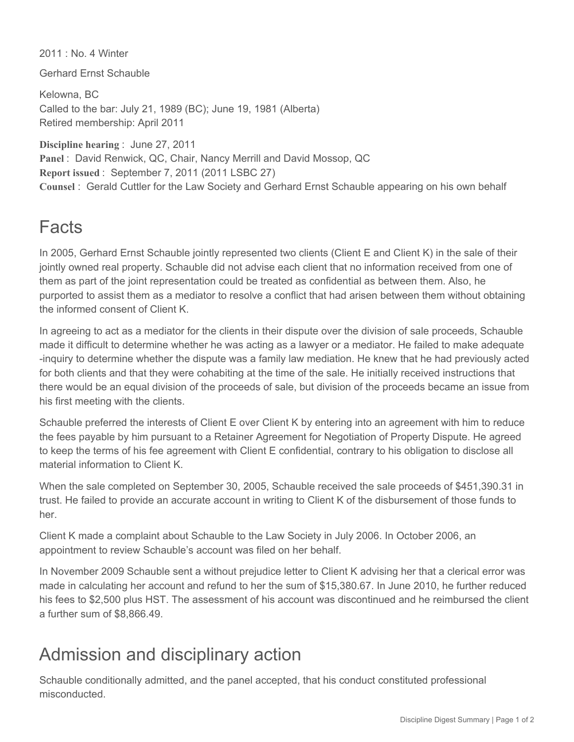2011 : No. 4 Winter

Gerhard Ernst Schauble

Kelowna, BC Called to the bar: July 21, 1989 (BC); June 19, 1981 (Alberta) Retired membership: April 2011

**Discipline hearing** : June 27, 2011 **Panel** : David Renwick, QC, Chair, Nancy Merrill and David Mossop, QC **Report issued** : September 7, 2011 (2011 LSBC 27) **Counsel** : Gerald Cuttler for the Law Society and Gerhard Ernst Schauble appearing on his own behalf

## Facts

In 2005, Gerhard Ernst Schauble jointly represented two clients (Client E and Client K) in the sale of their jointly owned real property. Schauble did not advise each client that no information received from one of them as part of the joint representation could be treated as confidential as between them. Also, he purported to assist them as a mediator to resolve a conflict that had arisen between them without obtaining the informed consent of Client K.

In agreeing to act as a mediator for the clients in their dispute over the division of sale proceeds, Schauble made it difficult to determine whether he was acting as a lawyer or a mediator. He failed to make adequate inquiry to determine whether the dispute was a family law mediation. He knew that he had previously acted for both clients and that they were cohabiting at the time of the sale. He initially received instructions that there would be an equal division of the proceeds of sale, but division of the proceeds became an issue from his first meeting with the clients.

Schauble preferred the interests of Client E over Client K by entering into an agreement with him to reduce the fees payable by him pursuant to a Retainer Agreement for Negotiation of Property Dispute. He agreed to keep the terms of his fee agreement with Client E confidential, contrary to his obligation to disclose all material information to Client K.

When the sale completed on September 30, 2005, Schauble received the sale proceeds of \$451,390.31 in trust. He failed to provide an accurate account in writing to Client K of the disbursement of those funds to her.

Client K made a complaint about Schauble to the Law Society in July 2006. In October 2006, an appointment to review Schauble's account was filed on her behalf.

In November 2009 Schauble sent a without prejudice letter to Client K advising her that a clerical error was made in calculating her account and refund to her the sum of \$15,380.67. In June 2010, he further reduced his fees to \$2,500 plus HST. The assessment of his account was discontinued and he reimbursed the client a further sum of \$8,866.49.

## Admission and disciplinary action

Schauble conditionally admitted, and the panel accepted, that his conduct constituted professional misconducted.